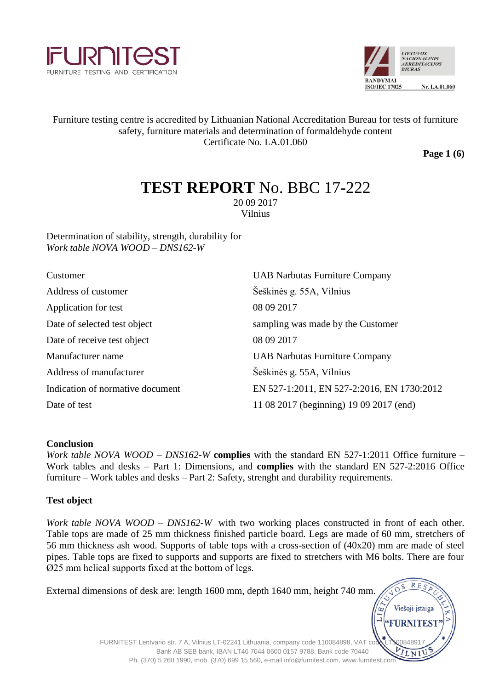



# Furniture testing centre is accredited by Lithuanian National Accreditation Bureau for tests of furniture safety, furniture materials and determination of formaldehyde content Certificate No. LA.01.060

**Page 1 (6)**

# **TEST REPORT** No. BBC 17-222

20 09 2017 Vilnius

Determination of stability, strength, durability for *Work table NOVA WOOD – DNS162-W*

| Customer                         | <b>UAB Narbutas Furniture Company</b>      |
|----------------------------------|--------------------------------------------|
| Address of customer              | Šeškinės g. 55A, Vilnius                   |
| Application for test             | 08 09 2017                                 |
| Date of selected test object     | sampling was made by the Customer          |
| Date of receive test object      | 08 09 2017                                 |
| Manufacturer name                | <b>UAB Narbutas Furniture Company</b>      |
| Address of manufacturer          | Šeškinės g. 55A, Vilnius                   |
| Indication of normative document | EN 527-1:2011, EN 527-2:2016, EN 1730:2012 |
| Date of test                     | 11 08 2017 (beginning) 19 09 2017 (end)    |

#### **Conclusion**

*Work table NOVA WOOD – DNS162-W* **complies** with the standard EN 527-1:2011 Office furniture – Work tables and desks – Part 1: Dimensions, and **complies** with the standard EN 527-2:2016 Office furniture – Work tables and desks – Part 2: Safety, strenght and durability requirements.

#### **Test object**

*Work table NOVA WOOD – DNS162-W* with two working places constructed in front of each other. Table tops are made of 25 mm thickness finished particle board. Legs are made of 60 mm, stretchers of 56 mm thickness ash wood. Supports of table tops with a cross-section of (40x20) mm are made of steel pipes. Table tops are fixed to supports and supports are fixed to stretchers with M6 bolts. There are four Ø25 mm helical supports fixed at the bottom of legs.

| RES<br>External dimensions of desk are: length 1600 mm, depth 1640 mm, height 740 mm.<br>Viešoji įstaiga                                                      |  |
|---------------------------------------------------------------------------------------------------------------------------------------------------------------|--|
| <b>FURNITEST</b><br>FURNITEST Lentvario str. 7 A, Vilnius LT-02241 Lithuania, company code 110084898, VAT could                                               |  |
| Bank AB SEB bank, IBAN LT46 7044 0600 0157 9788, Bank code 70440<br>Ph. (370) 5 260 1990, mob. (370) 699 15 560, e-mail info@furnitest.com, www.furnitest.com |  |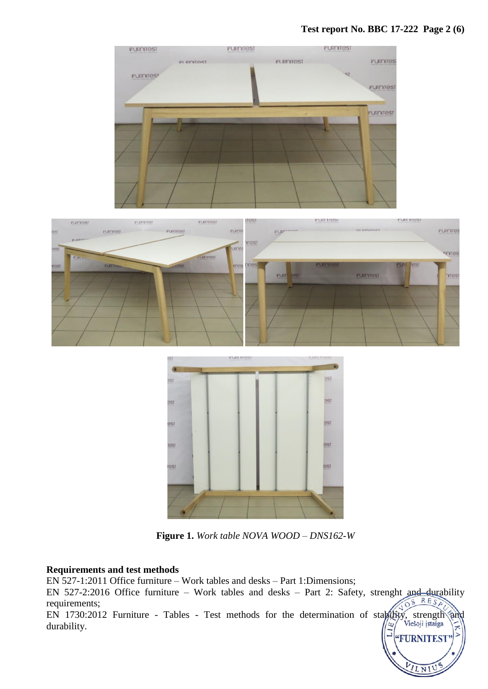### **Test report No. BBC 17-222 Page 2 (6)**

**FURNITES** 

ILNI







**Figure 1.** *Work table NOVA WOOD – DNS162-W*

#### **Requirements and test methods**

EN 527-1:2011 Office furniture – Work tables and desks – Part 1:Dimensions;

EN 527-2:2016 Office furniture – Work tables and desks – Part 2: Safety, strenght and durability requirements; requirements; EN 1730:2012 Furniture - Tables - Test methods for the determination of stability, strength and

durability.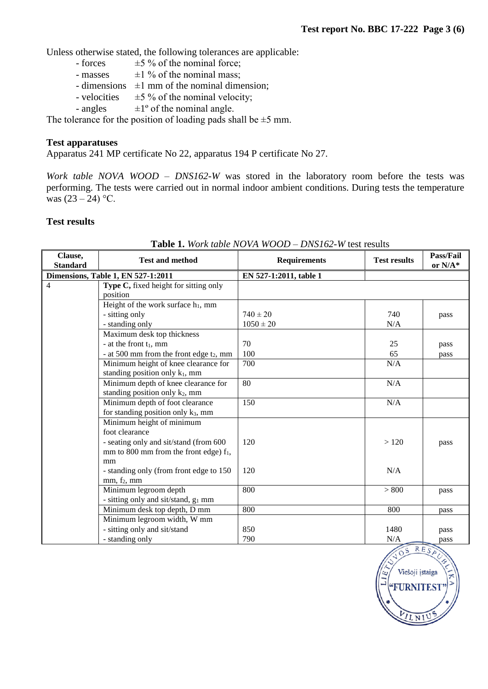Unless otherwise stated, the following tolerances are applicable:<br>- forces  $\pm 5\%$  of the nominal force;

- $\pm$ 5 % of the nominal force;
- masses  $\pm 1\%$  of the nominal mass;
- dimensions  $\pm 1$  mm of the nominal dimension;
- velocities  $\pm 5 \%$  of the nominal velocity;
- angles  $\pm 1^\circ$  of the nominal angle.

The tolerance for the position of loading pads shall be  $\pm$ 5 mm.

#### **Test apparatuses**

Apparatus 241 MP certificate No 22, apparatus 194 P certificate No 27.

*Work table NOVA WOOD – DNS162-W* was stored in the laboratory room before the tests was performing. The tests were carried out in normal indoor ambient conditions. During tests the temperature was  $(23 – 24) °C$ .

## **Test results**

| Clause,<br><b>Standard</b> | <b>Test and method</b>                          | <b>Requirements</b>    | <b>Test results</b> | Pass/Fail<br>or $N/A^*$ |
|----------------------------|-------------------------------------------------|------------------------|---------------------|-------------------------|
|                            | <b>Dimensions, Table 1, EN 527-1:2011</b>       | EN 527-1:2011, table 1 |                     |                         |
| 4                          | Type C, fixed height for sitting only           |                        |                     |                         |
|                            | position                                        |                        |                     |                         |
|                            | Height of the work surface $h_1$ , mm           |                        |                     |                         |
|                            | - sitting only                                  | $740 \pm 20$           | 740                 | pass                    |
|                            | - standing only                                 | $1050 \pm 20$          | N/A                 |                         |
|                            | Maximum desk top thickness                      |                        |                     |                         |
|                            | - at the front $t_1$ , mm                       | 70                     | 25                  | pass                    |
|                            | - at 500 mm from the front edge $t_2$ , mm      | 100                    | 65                  | pass                    |
|                            | Minimum height of knee clearance for            | 700                    | N/A                 |                         |
|                            | standing position only k <sub>1</sub> , mm      |                        |                     |                         |
|                            | Minimum depth of knee clearance for             | 80                     | N/A                 |                         |
|                            | standing position only k2, mm                   |                        |                     |                         |
|                            | Minimum depth of foot clearance                 | 150                    | N/A                 |                         |
|                            | for standing position only k <sub>3</sub> , mm  |                        |                     |                         |
|                            | Minimum height of minimum                       |                        |                     |                         |
|                            | foot clearance                                  |                        |                     |                         |
|                            | - seating only and sit/stand (from 600          | 120                    | >120                | pass                    |
|                            | mm to 800 mm from the front edge) $f_1$ ,       |                        |                     |                         |
|                            | mm                                              |                        |                     |                         |
|                            | - standing only (from front edge to 150         | 120                    | N/A                 |                         |
|                            | mm, f <sub>2</sub> , mm                         |                        |                     |                         |
|                            | Minimum legroom depth                           | 800                    | > 800               | pass                    |
|                            | - sitting only and sit/stand, g <sub>1</sub> mm |                        |                     |                         |
|                            | Minimum desk top depth, D mm                    | 800                    | 800                 | pass                    |
|                            | Minimum legroom width, W mm                     |                        |                     |                         |
|                            | - sitting only and sit/stand                    | 850                    | 1480                | pass                    |
|                            | - standing only                                 | 790                    | N/A                 | pass                    |

# **Table 1.** *Work table NOVA WOOD – DNS162-W* test results

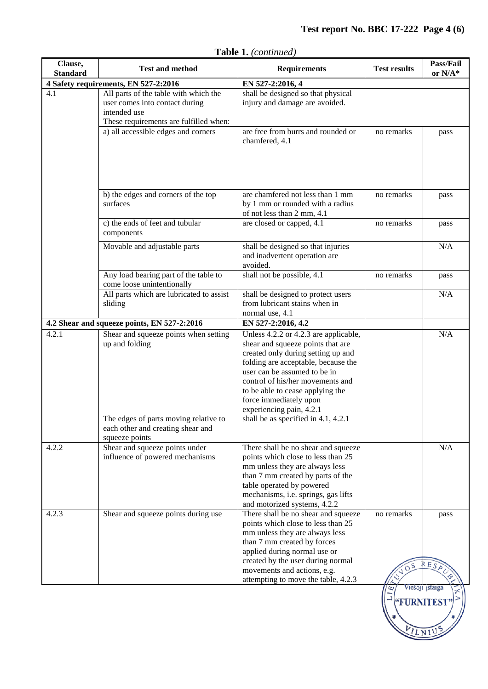# **Test report No. BBC 17-222 Page 4 (6)**

| Clause,<br><b>Standard</b>           | <b>Test and method</b>                                                                                                                                  | <b>Requirements</b>                                                                                                                                                                                                                                                                                                                                          | <b>Test results</b>                          | Pass/Fail<br>or $N/A^*$       |
|--------------------------------------|---------------------------------------------------------------------------------------------------------------------------------------------------------|--------------------------------------------------------------------------------------------------------------------------------------------------------------------------------------------------------------------------------------------------------------------------------------------------------------------------------------------------------------|----------------------------------------------|-------------------------------|
| 4 Safety requirements, EN 527-2:2016 |                                                                                                                                                         | EN 527-2:2016, 4                                                                                                                                                                                                                                                                                                                                             |                                              |                               |
| 4.1                                  | All parts of the table with which the<br>user comes into contact during<br>intended use<br>These requirements are fulfilled when:                       | shall be designed so that physical<br>injury and damage are avoided.                                                                                                                                                                                                                                                                                         |                                              |                               |
|                                      | a) all accessible edges and corners                                                                                                                     | are free from burrs and rounded or<br>chamfered, 4.1                                                                                                                                                                                                                                                                                                         | no remarks                                   | pass                          |
|                                      | b) the edges and corners of the top<br>surfaces                                                                                                         | are chamfered not less than 1 mm<br>by 1 mm or rounded with a radius<br>of not less than 2 mm, 4.1                                                                                                                                                                                                                                                           | no remarks                                   | pass                          |
|                                      | c) the ends of feet and tubular<br>components                                                                                                           | are closed or capped, 4.1                                                                                                                                                                                                                                                                                                                                    | no remarks                                   | pass                          |
|                                      | Movable and adjustable parts                                                                                                                            | shall be designed so that injuries<br>and inadvertent operation are<br>avoided.                                                                                                                                                                                                                                                                              |                                              | N/A                           |
|                                      | Any load bearing part of the table to<br>come loose unintentionally                                                                                     | shall not be possible, 4.1                                                                                                                                                                                                                                                                                                                                   | no remarks                                   | pass                          |
|                                      | All parts which are lubricated to assist<br>sliding                                                                                                     | shall be designed to protect users<br>from lubricant stains when in<br>normal use, 4.1                                                                                                                                                                                                                                                                       |                                              | N/A                           |
|                                      | 4.2 Shear and squeeze points, EN 527-2:2016                                                                                                             | EN 527-2:2016, 4.2                                                                                                                                                                                                                                                                                                                                           |                                              |                               |
| 4.2.1                                | Shear and squeeze points when setting<br>up and folding<br>The edges of parts moving relative to<br>each other and creating shear and<br>squeeze points | Unless 4.2.2 or 4.2.3 are applicable,<br>shear and squeeze points that are<br>created only during setting up and<br>folding are acceptable, because the<br>user can be assumed to be in<br>control of his/her movements and<br>to be able to cease applying the<br>force immediately upon<br>experiencing pain, 4.2.1<br>shall be as specified in 4.1, 4.2.1 |                                              | N/A                           |
| 4.2.2                                | Shear and squeeze points under<br>influence of powered mechanisms                                                                                       | There shall be no shear and squeeze<br>points which close to less than 25<br>mm unless they are always less<br>than 7 mm created by parts of the<br>table operated by powered<br>mechanisms, i.e. springs, gas lifts<br>and motorized systems, 4.2.2                                                                                                         |                                              | N/A                           |
| 4.2.3                                | Shear and squeeze points during use                                                                                                                     | There shall be no shear and squeeze<br>points which close to less than 25<br>mm unless they are always less<br>than 7 mm created by forces<br>applied during normal use or<br>created by the user during normal<br>movements and actions, e.g.<br>attempting to move the table, 4.2.3                                                                        | no remarks<br>ى<br><b>"FURNITEST</b><br>ILNI | pass<br>Eς<br>Viešoji įstaiga |

**Table 1.** *(continued)*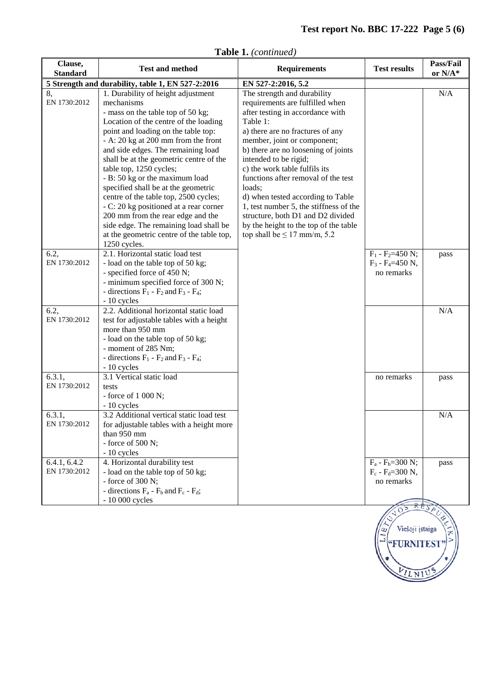**FURNITES** 

ILNIU

| Clause,<br><b>Standard</b>   | <b>Test and method</b>                                                                                                                                                                                                                                                                                                                                                                                                                                                                                                                                                                                                           | <b>Requirements</b>                                                                                                                                                                                                                                                                                                                                                                                                                                                                                                                  | <b>Test results</b>                                           | Pass/Fail<br>or N/A* |
|------------------------------|----------------------------------------------------------------------------------------------------------------------------------------------------------------------------------------------------------------------------------------------------------------------------------------------------------------------------------------------------------------------------------------------------------------------------------------------------------------------------------------------------------------------------------------------------------------------------------------------------------------------------------|--------------------------------------------------------------------------------------------------------------------------------------------------------------------------------------------------------------------------------------------------------------------------------------------------------------------------------------------------------------------------------------------------------------------------------------------------------------------------------------------------------------------------------------|---------------------------------------------------------------|----------------------|
|                              | 5 Strength and durability, table 1, EN 527-2:2016                                                                                                                                                                                                                                                                                                                                                                                                                                                                                                                                                                                | EN 527-2:2016, 5.2                                                                                                                                                                                                                                                                                                                                                                                                                                                                                                                   |                                                               |                      |
| 8,<br>EN 1730:2012           | 1. Durability of height adjustment<br>mechanisms<br>- mass on the table top of 50 kg;<br>Location of the centre of the loading<br>point and loading on the table top:<br>- A: 20 kg at 200 mm from the front<br>and side edges. The remaining load<br>shall be at the geometric centre of the<br>table top, 1250 cycles;<br>- B: 50 kg or the maximum load<br>specified shall be at the geometric<br>centre of the table top, 2500 cycles;<br>- C: 20 kg positioned at a rear corner<br>200 mm from the rear edge and the<br>side edge. The remaining load shall be<br>at the geometric centre of the table top,<br>1250 cycles. | The strength and durability<br>requirements are fulfilled when<br>after testing in accordance with<br>Table 1:<br>a) there are no fractures of any<br>member, joint or component;<br>b) there are no loosening of joints<br>intended to be rigid;<br>c) the work table fulfils its<br>functions after removal of the test<br>loads;<br>d) when tested according to Table<br>1, test number 5, the stiffness of the<br>structure, both D1 and D2 divided<br>by the height to the top of the table<br>top shall be $\leq 17$ mm/m, 5.2 |                                                               | N/A                  |
| 6.2,<br>EN 1730:2012         | 2.1. Horizontal static load test<br>- load on the table top of 50 kg;<br>- specified force of 450 N;<br>- minimum specified force of 300 N;<br>- directions $F_1$ - $F_2$ and $F_3$ - $F_4$ ;<br>- 10 cycles                                                                                                                                                                                                                                                                                                                                                                                                                     |                                                                                                                                                                                                                                                                                                                                                                                                                                                                                                                                      | $F_1$ - $F_2$ =450 N;<br>$F_3$ - $F_4 = 450$ N,<br>no remarks | pass                 |
| 6.2,<br>EN 1730:2012         | 2.2. Additional horizontal static load<br>test for adjustable tables with a height<br>more than 950 mm<br>- load on the table top of 50 kg;<br>- moment of 285 Nm;<br>- directions $F_1$ - $F_2$ and $F_3$ - $F_4$ ;<br>$-10$ cycles                                                                                                                                                                                                                                                                                                                                                                                             |                                                                                                                                                                                                                                                                                                                                                                                                                                                                                                                                      |                                                               | N/A                  |
| 6.3.1,<br>EN 1730:2012       | 3.1 Vertical static load<br>tests<br>- force of $1000$ N;<br>- 10 cycles                                                                                                                                                                                                                                                                                                                                                                                                                                                                                                                                                         |                                                                                                                                                                                                                                                                                                                                                                                                                                                                                                                                      | no remarks                                                    | pass                 |
| 6.3.1,<br>EN 1730:2012       | 3.2 Additional vertical static load test<br>for adjustable tables with a height more<br>than 950 mm<br>- force of $500$ N;<br>- 10 cycles                                                                                                                                                                                                                                                                                                                                                                                                                                                                                        |                                                                                                                                                                                                                                                                                                                                                                                                                                                                                                                                      |                                                               | N/A                  |
| 6.4.1, 6.4.2<br>EN 1730:2012 | 4. Horizontal durability test<br>- load on the table top of 50 kg;<br>- force of $300$ N;<br>- directions $F_a$ - $F_b$ and $F_c$ - $F_d$ ;<br>- 10 000 cycles                                                                                                                                                                                                                                                                                                                                                                                                                                                                   |                                                                                                                                                                                                                                                                                                                                                                                                                                                                                                                                      | $F_a - F_b = 300$ N;<br>$F_c - F_d = 300$ N,<br>no remarks    | pass                 |
|                              |                                                                                                                                                                                                                                                                                                                                                                                                                                                                                                                                                                                                                                  |                                                                                                                                                                                                                                                                                                                                                                                                                                                                                                                                      | Viešoji įstaiga                                               |                      |

**Table 1.** *(continued)*